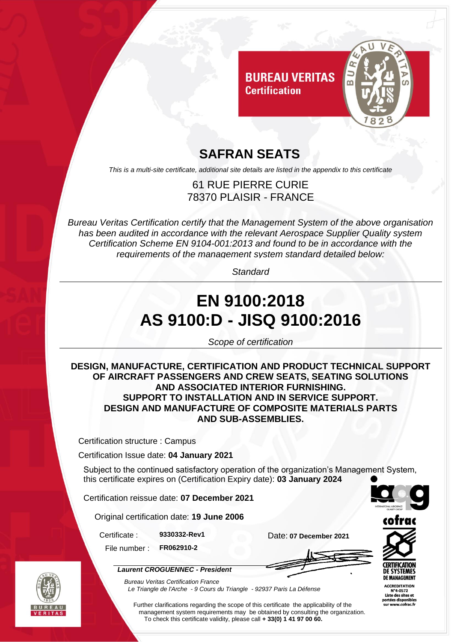

### **SAFRAN SEATS**

*This is a multi-site certificate, additional site details are listed in the appendix to this certificate*

#### 61 RUE PIERRE CURIE 78370 PLAISIR - FRANCE

*Bureau Veritas Certification certify that the Management System of the above organisation has been audited in accordance with the relevant Aerospace Supplier Quality system Certification Scheme EN 9104-001:2013 and found to be in accordance with the requirements of the management system standard detailed below:*

*Standard*

# **EN 9100:2018 AS 9100:D - JISQ 9100:2016**

*Scope of certification*

#### **DESIGN, MANUFACTURE, CERTIFICATION AND PRODUCT TECHNICAL SUPPORT OF AIRCRAFT PASSENGERS AND CREW SEATS, SEATING SOLUTIONS AND ASSOCIATED INTERIOR FURNISHING. SUPPORT TO INSTALLATION AND IN SERVICE SUPPORT. DESIGN AND MANUFACTURE OF COMPOSITE MATERIALS PARTS AND SUB-ASSEMBLIES.**

Certification structure : Campus

Certification Issue date: **04 January 2021**

Subject to the continued satisfactory operation of the organization's Management System, this certificate expires on (Certification Expiry date): **03 January 2024**

Certification reissue date: **07 December 2021**

Original certification date: **19 June 2006**

*Laurent CROGUENNEC - President*

Certificate : **9330332-Rev1** Date: **07 December 2021**

File number : **FR062910-2**



**ACCREDITATION** N°4-0572<br>Liste des sites et portées disponibles sur www.cofrac.fr



*Bureau Veritas Certification France Le Triangle de l'Arche - 9 Cours du Triangle - 92937 Paris La Défense* 

Further clarifications regarding the scope of this certificate the applicability of the management system requirements may be obtained by consulting the organization. To check this certificate validity, please call **+ 33(0) 1 41 97 00 60.**